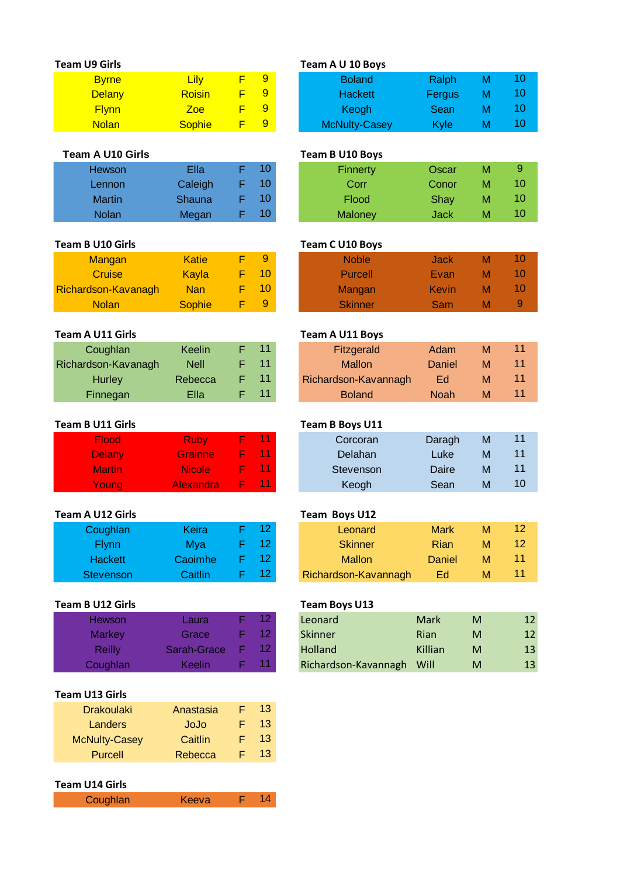| <b>Byrne</b>              | Lily                         | $\mathsf F$ | 9                | <b>Boland</b>                   |                 |                |             |
|---------------------------|------------------------------|-------------|------------------|---------------------------------|-----------------|----------------|-------------|
|                           |                              |             |                  |                                 | Ralph           | M              | 10          |
| <b>Delany</b>             | <b>Roisin</b>                | F           | 9                | <b>Hackett</b>                  | Fergus          | M              | 10          |
| <b>Flynn</b>              | Zoe                          | F           | 9                | Keogh                           | <b>Sean</b>     | M              | 10          |
| <b>Nolan</b>              | <b>Sophie</b>                | F           | 9                | <b>McNulty-Casey</b>            | Kyle            | M              | 10          |
| <b>Team A U10 Girls</b>   |                              |             |                  | Team B U10 Boys                 |                 |                |             |
| <b>Hewson</b>             | Ella                         | F           | 10               | <b>Finnerty</b>                 | Oscar           | M              | $9\,$       |
| Lennon                    | Caleigh                      | F           | 10               | Corr                            | Conor           | M              | 10          |
| <b>Martin</b>             | Shauna                       | F           | 10               | Flood                           | Shay            | M              | 10          |
| <b>Nolan</b>              | Megan                        | F           | 10               | <b>Maloney</b>                  | <b>Jack</b>     | M              | 10          |
| <b>Team B U10 Girls</b>   |                              |             |                  | Team C U10 Boys                 |                 |                |             |
| Mangan                    | <b>Katie</b>                 | F           | 9                | <b>Noble</b>                    | <b>Jack</b>     | M              | 10          |
| <b>Cruise</b>             | <b>Kayla</b>                 | F           | 10               | <b>Purcell</b>                  | Evan            | M              | 10          |
| Richardson-Kavanagh       | <b>Nan</b>                   | F           | 10               | Mangan                          | <b>Kevin</b>    | M              | 10          |
| <b>Nolan</b>              | <b>Sophie</b>                | F           | $\boldsymbol{9}$ | <b>Skinner</b>                  | <b>Sam</b>      | M              | $\mathsf 9$ |
|                           |                              |             |                  |                                 |                 |                |             |
| <b>Team A U11 Girls</b>   |                              |             |                  | <b>Team A U11 Boys</b>          |                 |                |             |
| Coughlan                  | <b>Keelin</b>                | F           | 11               | Fitzgerald                      | Adam            | M              | 11          |
| Richardson-Kavanagh       | <b>Nell</b>                  | F           | 11               | <b>Mallon</b>                   | <b>Daniel</b>   | M              | 11          |
| <b>Hurley</b>             | Rebecca                      | F           | 11               | Richardson-Kavannagh            | Ed              | M              | 11          |
| Finnegan                  | Ella                         | F           | 11               | <b>Boland</b>                   | <b>Noah</b>     | M              | 11          |
| <b>Team B U11 Girls</b>   |                              |             |                  | Team B Boys U11                 |                 |                |             |
| Flood                     | <b>Ruby</b>                  | F           | 11               | Corcoran                        | Daragh          | M              | 11          |
| <b>Delany</b>             | <b>Grainne</b>               | F           | 11               | Delahan                         | Luke            | M              | 11          |
| <b>Martin</b>             | <b>Nicole</b>                | F           | 11               | Stevenson                       | Daire           | M              | 11          |
| Young                     | Alexandra                    | F           | 11               | Keogh                           | Sean            | M              | 10          |
| <b>Team A U12 Girls</b>   |                              |             |                  | Team Boys U12                   |                 |                |             |
| Coughlan                  | <b>Keira</b>                 | F           | 12 <sub>2</sub>  | Leonard                         | <b>Mark</b>     | M              | 12          |
| Flynn                     | Mya                          | F           | 12               | <b>Skinner</b>                  | Rian            | M              | 12          |
| <b>Hackett</b>            | Caoimhe                      | F           | 12 <sub>2</sub>  | <b>Mallon</b>                   | <b>Daniel</b>   | M              | 11          |
| <b>Stevenson</b>          | Caitlin                      | F           | 12 <sub>2</sub>  | Richardson-Kavannagh            | Ed              | M              | 11          |
|                           |                              |             |                  |                                 |                 |                |             |
| <b>Team B U12 Girls</b>   |                              |             |                  | <b>Team Boys U13</b>            |                 |                |             |
| Hewson                    | Laura                        | F           | 12 <sub>1</sub>  | Leonard                         | <b>Mark</b>     | M              |             |
| <b>Markey</b>             | Grace                        | F           | 12               | Skinner                         | Rian            | M              |             |
| <b>Reilly</b><br>Coughlan | Sarah-Grace<br><b>Keelin</b> | F<br>F      | 12<br>11         | Holland<br>Richardson-Kavannagh | Killian<br>Will | M<br>${\sf M}$ |             |
|                           |                              |             |                  |                                 |                 |                |             |
| <b>Team U13 Girls</b>     |                              |             |                  |                                 |                 |                |             |
| <b>Drakoulaki</b>         | Anastasia                    | F           | 13               |                                 |                 |                |             |
| Landers                   | JoJo                         | F           | 13               |                                 |                 |                |             |
| <b>McNulty-Casey</b>      | Caitlin                      | F           | 13               |                                 |                 |                |             |
| <b>Purcell</b>            | Rebecca                      | F           | 13               |                                 |                 |                |             |
| <b>Team U14 Girls</b>     |                              |             |                  |                                 |                 |                |             |
| Coughlan                  | Keeva                        | F           | 14               |                                 |                 |                |             |

#### **Team A U 10 Boys**

| <b>Byrne</b>  | <u>Lily</u>   | 9 | <b>Boland</b>        | Ralph  | м | 10 |
|---------------|---------------|---|----------------------|--------|---|----|
| <b>Delany</b> | Roisin        | 9 | <b>Hackett</b>       | Fergus | м | 10 |
| <b>Flynn</b>  | Zoe:          | 9 | Keogh                | Sean   | м | 10 |
| <b>Nolan</b>  | <b>Sophie</b> | 9 | <b>McNulty-Casey</b> | Kvle   | м | 10 |
|               |               |   |                      |        |   |    |

## **Team B U10 Boys**

| <b>Hewson</b> | Ella    | 10'          | <b>Finnerty</b> | Oscar | М | 9  |
|---------------|---------|--------------|-----------------|-------|---|----|
| Lennon        | Caleigh | 10           | Corr            | Conor | м | 10 |
| Martin        | Shauna  | 10           | Flood           | Shav  | м | 10 |
| <b>Nolan</b>  | Megan   | $10^{\circ}$ | <b>Malonev</b>  | Jack  | М | 10 |
|               |         |              |                 |       |   |    |

### **Team C U10 Boys**

| <b>Mangan</b>         | Katie         | -9              | <b>Noble</b>   | Jack  | 10  |
|-----------------------|---------------|-----------------|----------------|-------|-----|
| <b>Cruise</b>         | Kavla         | 10 <sup>1</sup> | Purcell        | Evan  | 10. |
| <u> Ison-Kavanagh</u> | Nan           | $10^{\circ}$    | Mangan         | Kevin | 10  |
| <b>Nolan</b>          | <b>Sophie</b> | 9               | <b>Skinner</b> | Sam   | 9   |

#### **Team A U11 Boys**

| Coughlan      | Keelin      | 11 | Fitzgerald           | Adam        | м | 11 |
|---------------|-------------|----|----------------------|-------------|---|----|
| dson-Kavanagh | <b>Nell</b> | 11 | <b>Mallon</b>        | Daniel      | м | 11 |
| Hurley        | Rebecca     | 11 | Richardson-Kavannagh | Ed          | м | 11 |
| Finnegan      | Ella        | 11 | <b>Boland</b>        | <b>Noah</b> | м | 11 |

#### **Team B Boys U11**

| <b>Flood</b>  | <b>Ruby</b>      | W | Corcoran       | Daragh | м |    |
|---------------|------------------|---|----------------|--------|---|----|
| <b>Delany</b> | <b>Grainne</b>   |   | <b>Delahan</b> | Luke   | М |    |
| <b>Martin</b> | <b>Nicole</b>    |   | Stevenson      | Daire  | м |    |
| Young         | <b>Alexandra</b> |   | Keogh          | Sean   | М | 10 |

#### **Team Boys U12**

| Coughlan       | Keira   | 12 <sub>h</sub> | Leonard              | Mark   | м | 12 |
|----------------|---------|-----------------|----------------------|--------|---|----|
| <b>Flynn</b>   | Mva     | 12 <sup>1</sup> | <b>Skinner</b>       | Rian   | м | 12 |
| <b>Hackett</b> | Caoimhe | 121             | <b>Mallon</b>        | Daniel | м | 11 |
| Stevenson      | Caitlin | 12 <sub>k</sub> | Richardson-Kavannagh | Ed     | м | 11 |

# **Team Boys U13**

| <b>Hewson</b> | Laura       |  | Leonard              | Mark    | м | 12 <sup>1</sup> |
|---------------|-------------|--|----------------------|---------|---|-----------------|
| <b>Markey</b> | Grace       |  | Skinner              | Rian    | м | 12 <sup>1</sup> |
| Reilly        | Sarah-Grace |  | <b>Holland</b>       | Killian | M | 13              |
| Coughlan      | Keelin      |  | Richardson-Kavannagh | Will    | м | 13              |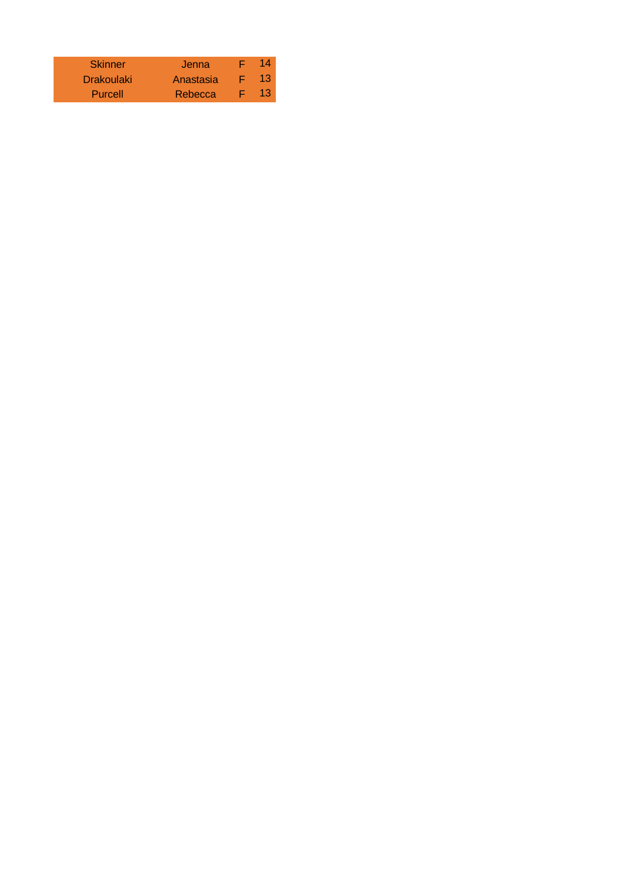| <b>Skinner</b> | Jenna     | 1 1 |
|----------------|-----------|-----|
| Drakoulaki     | Anastasia | 13  |
| Purcell        | Rebecca   |     |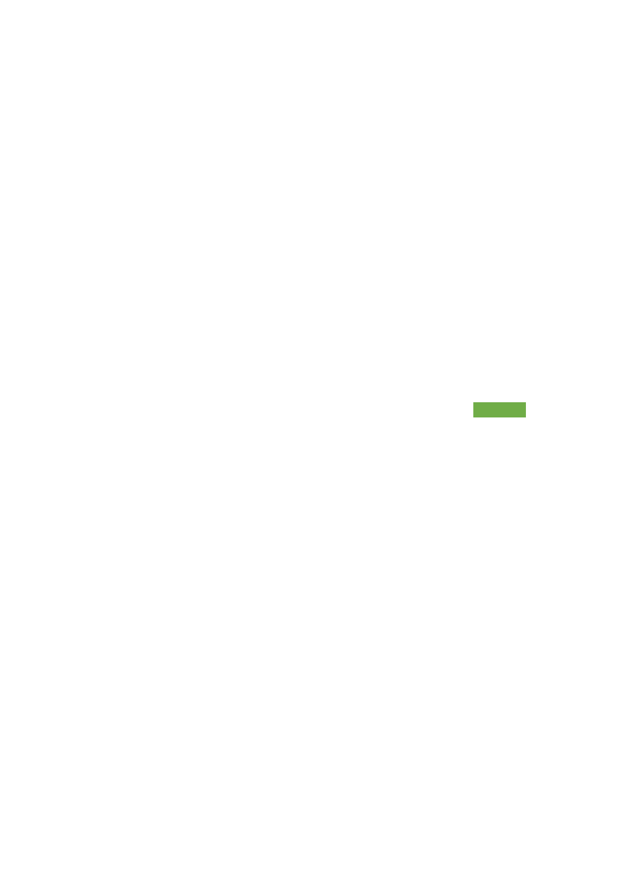$\mathcal{L}^{\text{max}}_{\text{max}}$